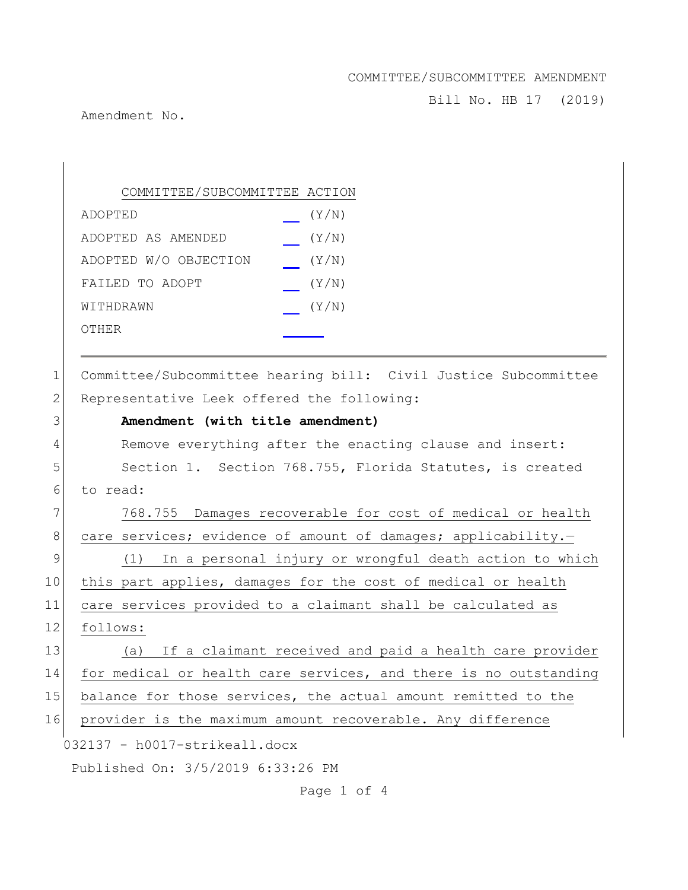Bill No. HB 17 (2019)

Amendment No.

 $\begin{array}{c} \hline \end{array}$ 

|              | COMMITTEE/SUBCOMMITTEE ACTION                                    |
|--------------|------------------------------------------------------------------|
|              | (Y/N)<br>ADOPTED                                                 |
|              | (Y/N)<br>ADOPTED AS AMENDED                                      |
|              | ADOPTED W/O OBJECTION<br>(Y/N)                                   |
|              | FAILED TO ADOPT<br>(Y/N)                                         |
|              | (Y/N)<br>WITHDRAWN                                               |
|              | <b>OTHER</b>                                                     |
|              |                                                                  |
| $\mathbf 1$  | Committee/Subcommittee hearing bill: Civil Justice Subcommittee  |
| $\mathbf{2}$ | Representative Leek offered the following:                       |
| 3            | Amendment (with title amendment)                                 |
| 4            | Remove everything after the enacting clause and insert:          |
| 5            | Section 1. Section 768.755, Florida Statutes, is created         |
| 6            | to read:                                                         |
| 7            | 768.755 Damages recoverable for cost of medical or health        |
| $8\,$        | care services; evidence of amount of damages; applicability.-    |
| 9            | In a personal injury or wrongful death action to which<br>(1)    |
| 10           | this part applies, damages for the cost of medical or health     |
| 11           | care services provided to a claimant shall be calculated as      |
| 12           | follows:                                                         |
| 13           | If a claimant received and paid a health care provider<br>(a)    |
| 14           | for medical or health care services, and there is no outstanding |
| 15           | balance for those services, the actual amount remitted to the    |
| 16           | provider is the maximum amount recoverable. Any difference       |
|              | 032137 - h0017-strikeall.docx                                    |
|              | Published On: 3/5/2019 6:33:26 PM                                |

Page 1 of 4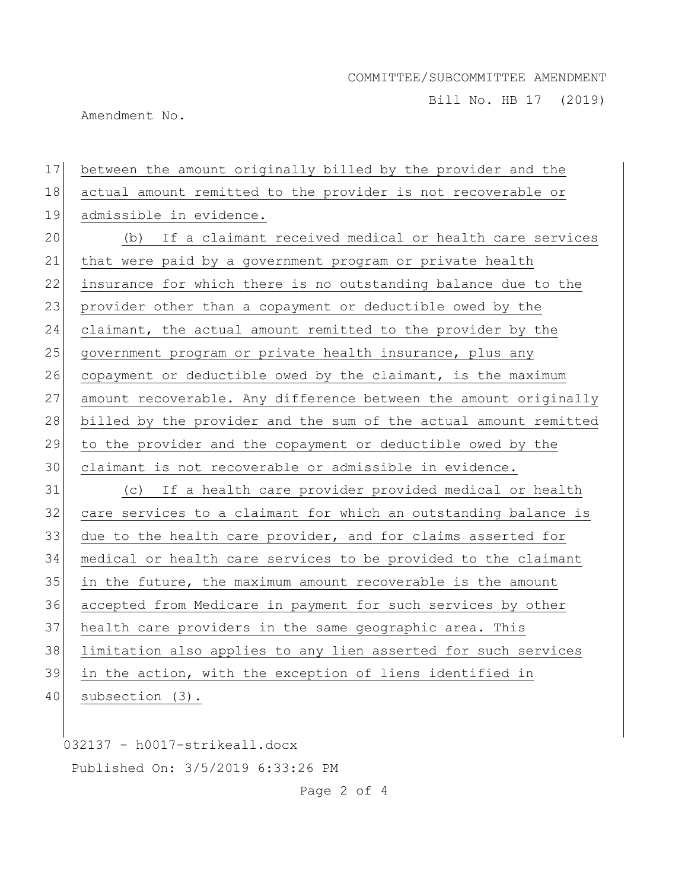Bill No. HB 17 (2019)

Amendment No.

17 between the amount originally billed by the provider and the 18 actual amount remitted to the provider is not recoverable or 19 admissible in evidence. 20 (b) If a claimant received medical or health care services 21 that were paid by a government program or private health 22 insurance for which there is no outstanding balance due to the 23 provider other than a copayment or deductible owed by the 24 claimant, the actual amount remitted to the provider by the 25 government program or private health insurance, plus any 26 copayment or deductible owed by the claimant, is the maximum 27 amount recoverable. Any difference between the amount originally 28 billed by the provider and the sum of the actual amount remitted 29 to the provider and the copayment or deductible owed by the 30 claimant is not recoverable or admissible in evidence. 31 (c) If a health care provider provided medical or health 32 care services to a claimant for which an outstanding balance is 33 due to the health care provider, and for claims asserted for 34 medical or health care services to be provided to the claimant  $35$  in the future, the maximum amount recoverable is the amount 36 accepted from Medicare in payment for such services by other 37 health care providers in the same geographic area. This 38 limitation also applies to any lien asserted for such services 39 in the action, with the exception of liens identified in 40 subsection (3).

032137 - h0017-strikeall.docx Published On: 3/5/2019 6:33:26 PM

Page 2 of 4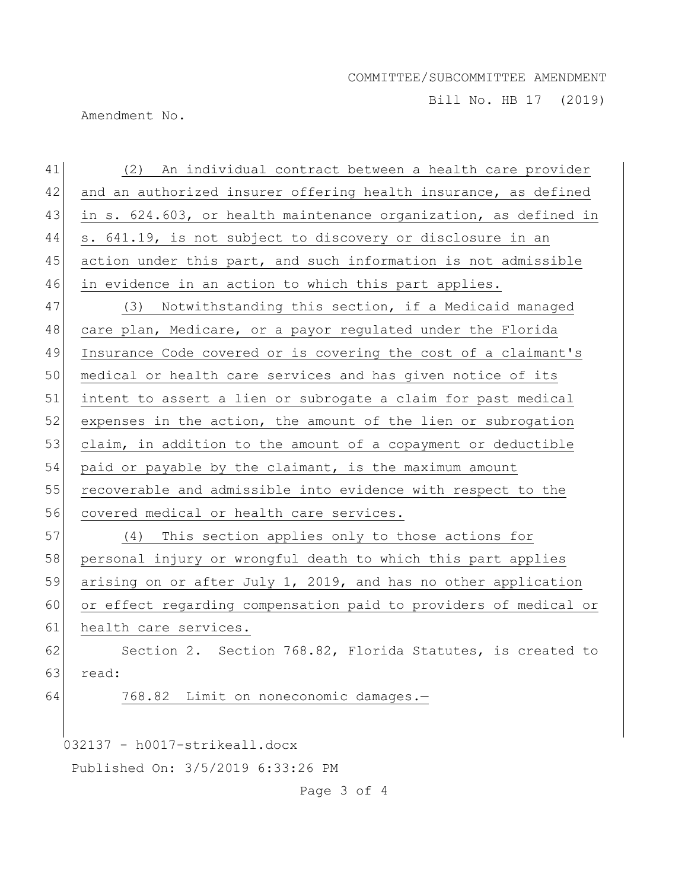Bill No. HB 17 (2019)

Amendment No.

| 41 | (2) An individual contract between a health care provider        |
|----|------------------------------------------------------------------|
| 42 | and an authorized insurer offering health insurance, as defined  |
| 43 | in s. 624.603, or health maintenance organization, as defined in |
| 44 | s. 641.19, is not subject to discovery or disclosure in an       |
| 45 | action under this part, and such information is not admissible   |
| 46 | in evidence in an action to which this part applies.             |
| 47 | (3) Notwithstanding this section, if a Medicaid managed          |
| 48 | care plan, Medicare, or a payor regulated under the Florida      |
| 49 | Insurance Code covered or is covering the cost of a claimant's   |
| 50 | medical or health care services and has given notice of its      |
| 51 | intent to assert a lien or subrogate a claim for past medical    |
| 52 | expenses in the action, the amount of the lien or subrogation    |
| 53 | claim, in addition to the amount of a copayment or deductible    |
| 54 | paid or payable by the claimant, is the maximum amount           |
| 55 | recoverable and admissible into evidence with respect to the     |
| 56 | covered medical or health care services.                         |
| 57 | (4) This section applies only to those actions for               |
| 58 | personal injury or wrongful death to which this part applies     |
| 59 | arising on or after July 1, 2019, and has no other application   |
| 60 | or effect regarding compensation paid to providers of medical or |
| 61 | health care services.                                            |
| 62 | Section 2. Section 768.82, Florida Statutes, is created to       |
| 63 | read:                                                            |
| 64 | 768.82 Limit on noneconomic damages.-                            |
|    |                                                                  |
|    | 032137 - h0017-strikeall.docx                                    |
|    | Published On: 3/5/2019 6:33:26 PM                                |

Page 3 of 4